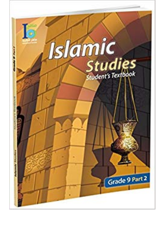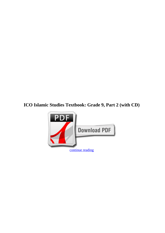## **ICO Islamic Studies Textbook: Grade 9, Part 2 (with CD)**

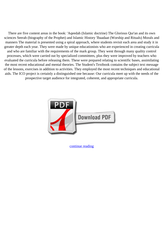There are five content areas in the book: 'Aqeedah (Islamic doctrine) The Glorious Qur'an and its own sciences Seerah (biography of the Prophet) and Islamic History 'Ibaadaat (Worship and Rituals) Morals and manners The material is presented using a spiral approach, where students revisit each area and study it in greater depth each year. They were made by unique educationists who are experienced in creating curricula and who are familiar with the requirements of the mark group. They went through many quality control processes, which were carried out by specialized committees, plus they were improved by teachers who evaluated the curricula before releasing them. These were prepared relating to scientific bases, assimilating the most recent educational and mental theories. The Student's Textbook contains the subject text message of the lessons, exercises in addition to activities. They employed the most recent techniques and educational aids. The ICO project is certainly a distinguished one because: Our curricula meet up with the needs of the prospective target audience for integrated, coherent, and appropriate curricula.



[continue reading](http://bit.ly/2Tge8Fv)